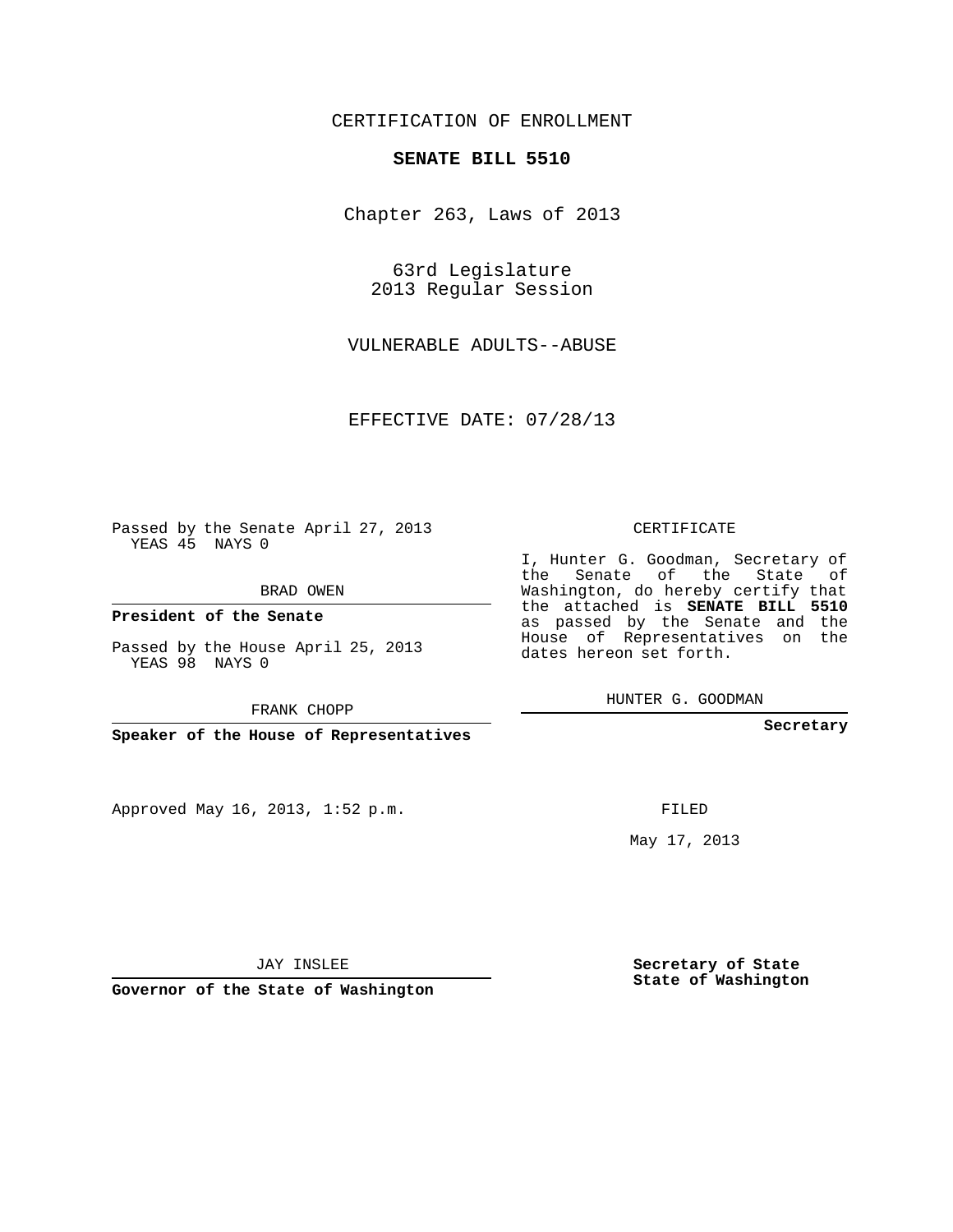## CERTIFICATION OF ENROLLMENT

## **SENATE BILL 5510**

Chapter 263, Laws of 2013

63rd Legislature 2013 Regular Session

VULNERABLE ADULTS--ABUSE

EFFECTIVE DATE: 07/28/13

Passed by the Senate April 27, 2013 YEAS 45 NAYS 0

BRAD OWEN

**President of the Senate**

Passed by the House April 25, 2013 YEAS 98 NAYS 0

FRANK CHOPP

**Speaker of the House of Representatives**

Approved May 16, 2013, 1:52 p.m.

CERTIFICATE

I, Hunter G. Goodman, Secretary of the Senate of the State of Washington, do hereby certify that the attached is **SENATE BILL 5510** as passed by the Senate and the House of Representatives on the dates hereon set forth.

HUNTER G. GOODMAN

**Secretary**

FILED

May 17, 2013

**Secretary of State State of Washington**

JAY INSLEE

**Governor of the State of Washington**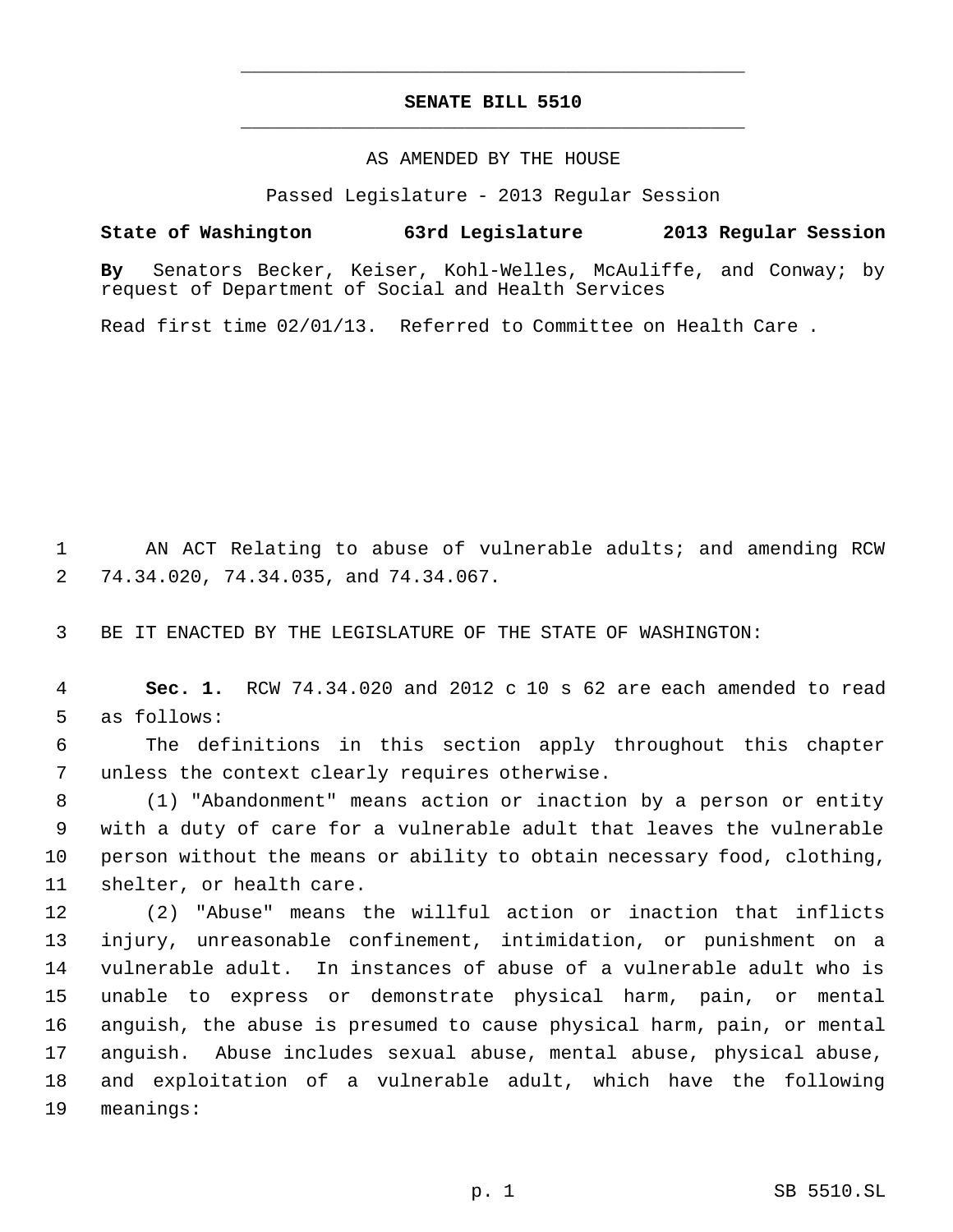# **SENATE BILL 5510** \_\_\_\_\_\_\_\_\_\_\_\_\_\_\_\_\_\_\_\_\_\_\_\_\_\_\_\_\_\_\_\_\_\_\_\_\_\_\_\_\_\_\_\_\_

\_\_\_\_\_\_\_\_\_\_\_\_\_\_\_\_\_\_\_\_\_\_\_\_\_\_\_\_\_\_\_\_\_\_\_\_\_\_\_\_\_\_\_\_\_

## AS AMENDED BY THE HOUSE

Passed Legislature - 2013 Regular Session

**State of Washington 63rd Legislature 2013 Regular Session**

**By** Senators Becker, Keiser, Kohl-Welles, McAuliffe, and Conway; by request of Department of Social and Health Services

Read first time 02/01/13. Referred to Committee on Health Care .

1 AN ACT Relating to abuse of vulnerable adults; and amending RCW 74.34.020, 74.34.035, and 74.34.067.

BE IT ENACTED BY THE LEGISLATURE OF THE STATE OF WASHINGTON:

 **Sec. 1.** RCW 74.34.020 and 2012 c 10 s 62 are each amended to read as follows:

 The definitions in this section apply throughout this chapter unless the context clearly requires otherwise.

 (1) "Abandonment" means action or inaction by a person or entity with a duty of care for a vulnerable adult that leaves the vulnerable person without the means or ability to obtain necessary food, clothing, shelter, or health care.

 (2) "Abuse" means the willful action or inaction that inflicts injury, unreasonable confinement, intimidation, or punishment on a vulnerable adult. In instances of abuse of a vulnerable adult who is unable to express or demonstrate physical harm, pain, or mental anguish, the abuse is presumed to cause physical harm, pain, or mental anguish. Abuse includes sexual abuse, mental abuse, physical abuse, and exploitation of a vulnerable adult, which have the following meanings: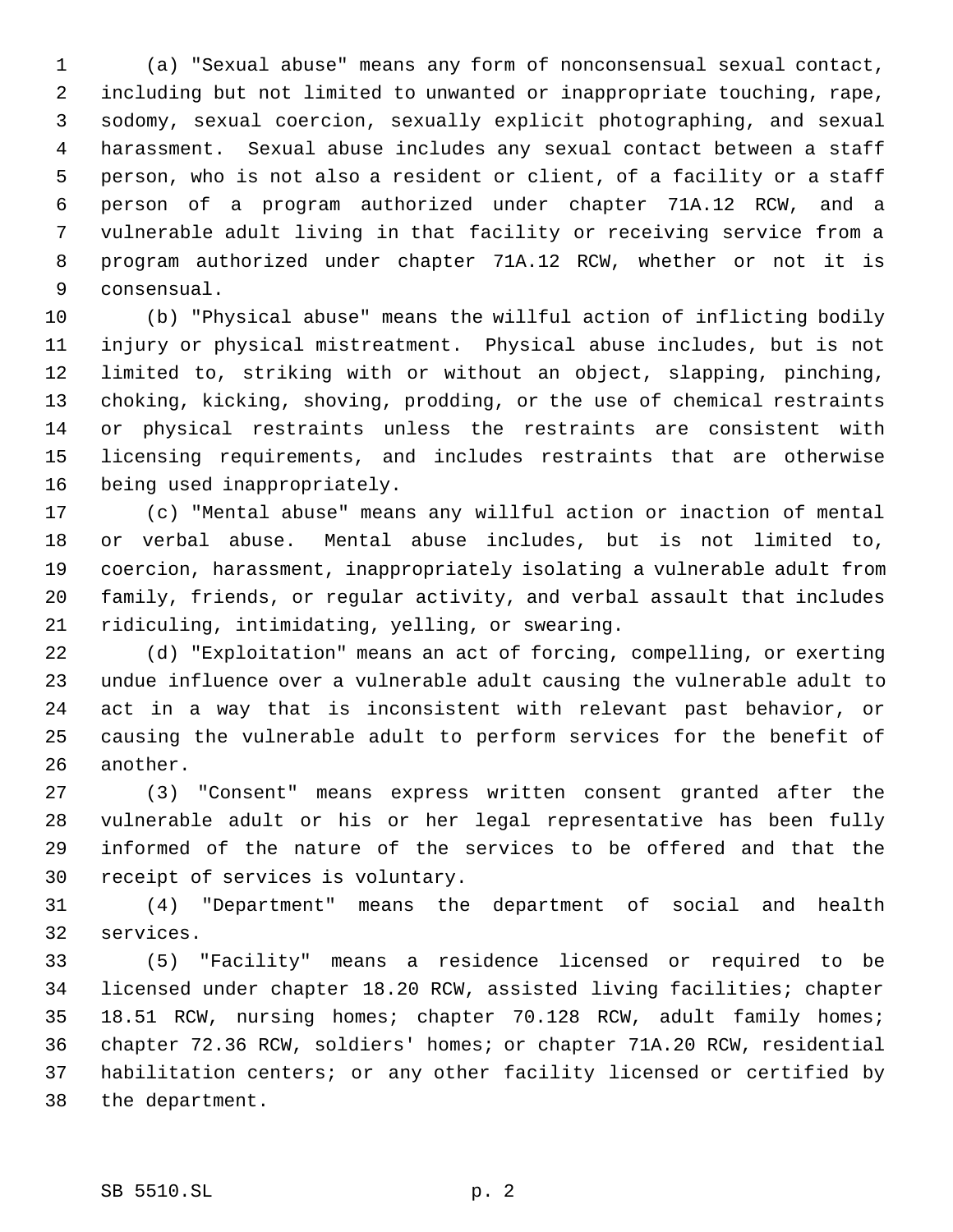(a) "Sexual abuse" means any form of nonconsensual sexual contact, including but not limited to unwanted or inappropriate touching, rape, sodomy, sexual coercion, sexually explicit photographing, and sexual harassment. Sexual abuse includes any sexual contact between a staff person, who is not also a resident or client, of a facility or a staff person of a program authorized under chapter 71A.12 RCW, and a vulnerable adult living in that facility or receiving service from a program authorized under chapter 71A.12 RCW, whether or not it is consensual.

 (b) "Physical abuse" means the willful action of inflicting bodily injury or physical mistreatment. Physical abuse includes, but is not limited to, striking with or without an object, slapping, pinching, choking, kicking, shoving, prodding, or the use of chemical restraints or physical restraints unless the restraints are consistent with licensing requirements, and includes restraints that are otherwise being used inappropriately.

 (c) "Mental abuse" means any willful action or inaction of mental or verbal abuse. Mental abuse includes, but is not limited to, coercion, harassment, inappropriately isolating a vulnerable adult from family, friends, or regular activity, and verbal assault that includes ridiculing, intimidating, yelling, or swearing.

 (d) "Exploitation" means an act of forcing, compelling, or exerting undue influence over a vulnerable adult causing the vulnerable adult to act in a way that is inconsistent with relevant past behavior, or causing the vulnerable adult to perform services for the benefit of another.

 (3) "Consent" means express written consent granted after the vulnerable adult or his or her legal representative has been fully informed of the nature of the services to be offered and that the receipt of services is voluntary.

 (4) "Department" means the department of social and health services.

 (5) "Facility" means a residence licensed or required to be licensed under chapter 18.20 RCW, assisted living facilities; chapter 18.51 RCW, nursing homes; chapter 70.128 RCW, adult family homes; chapter 72.36 RCW, soldiers' homes; or chapter 71A.20 RCW, residential habilitation centers; or any other facility licensed or certified by the department.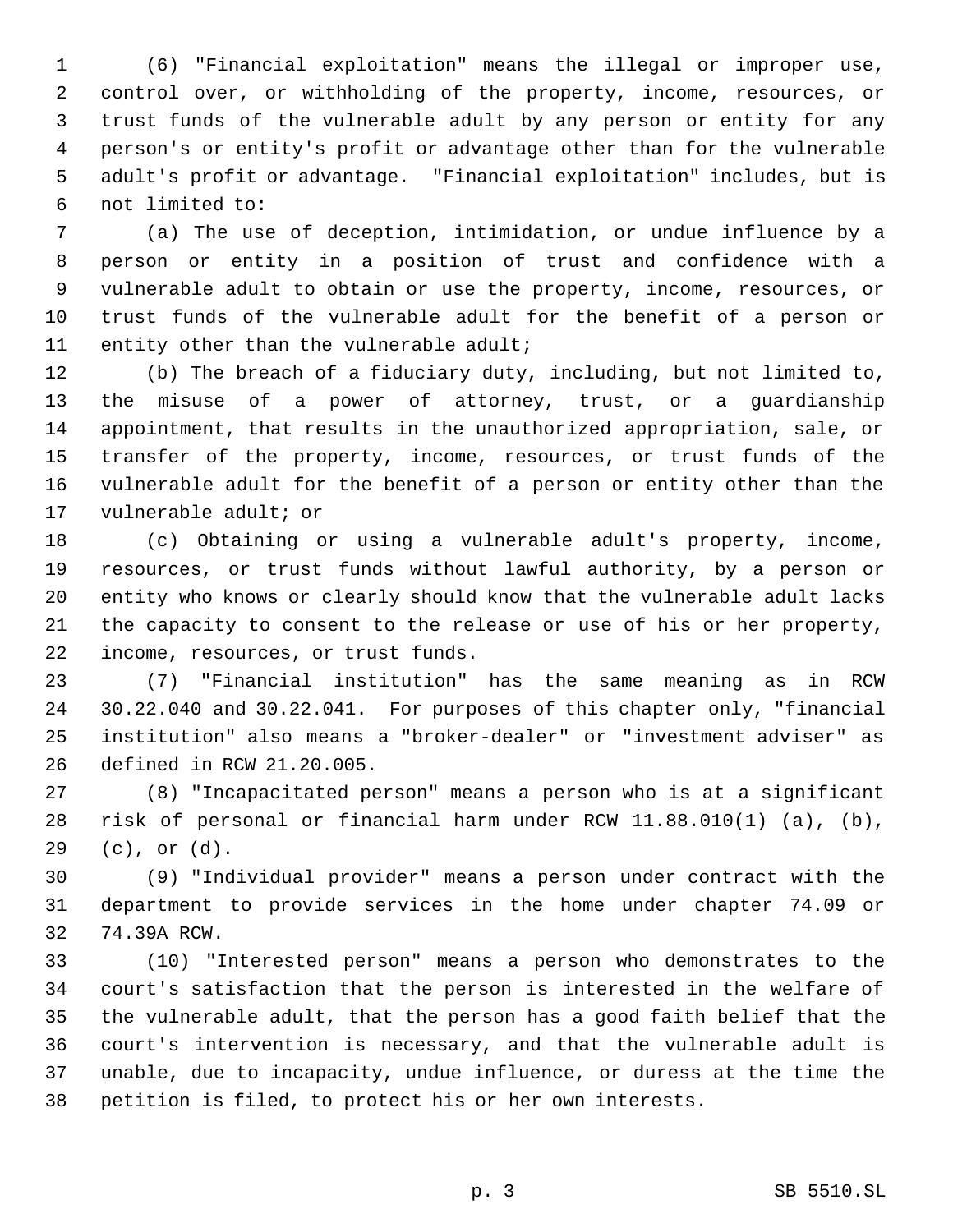(6) "Financial exploitation" means the illegal or improper use, control over, or withholding of the property, income, resources, or trust funds of the vulnerable adult by any person or entity for any person's or entity's profit or advantage other than for the vulnerable adult's profit or advantage. "Financial exploitation" includes, but is not limited to:

 (a) The use of deception, intimidation, or undue influence by a person or entity in a position of trust and confidence with a vulnerable adult to obtain or use the property, income, resources, or trust funds of the vulnerable adult for the benefit of a person or 11 entity other than the vulnerable adult;

 (b) The breach of a fiduciary duty, including, but not limited to, the misuse of a power of attorney, trust, or a guardianship appointment, that results in the unauthorized appropriation, sale, or transfer of the property, income, resources, or trust funds of the vulnerable adult for the benefit of a person or entity other than the vulnerable adult; or

 (c) Obtaining or using a vulnerable adult's property, income, resources, or trust funds without lawful authority, by a person or entity who knows or clearly should know that the vulnerable adult lacks the capacity to consent to the release or use of his or her property, income, resources, or trust funds.

 (7) "Financial institution" has the same meaning as in RCW 30.22.040 and 30.22.041. For purposes of this chapter only, "financial institution" also means a "broker-dealer" or "investment adviser" as defined in RCW 21.20.005.

 (8) "Incapacitated person" means a person who is at a significant risk of personal or financial harm under RCW 11.88.010(1) (a), (b), (c), or (d).

 (9) "Individual provider" means a person under contract with the department to provide services in the home under chapter 74.09 or 74.39A RCW.

 (10) "Interested person" means a person who demonstrates to the court's satisfaction that the person is interested in the welfare of the vulnerable adult, that the person has a good faith belief that the court's intervention is necessary, and that the vulnerable adult is unable, due to incapacity, undue influence, or duress at the time the petition is filed, to protect his or her own interests.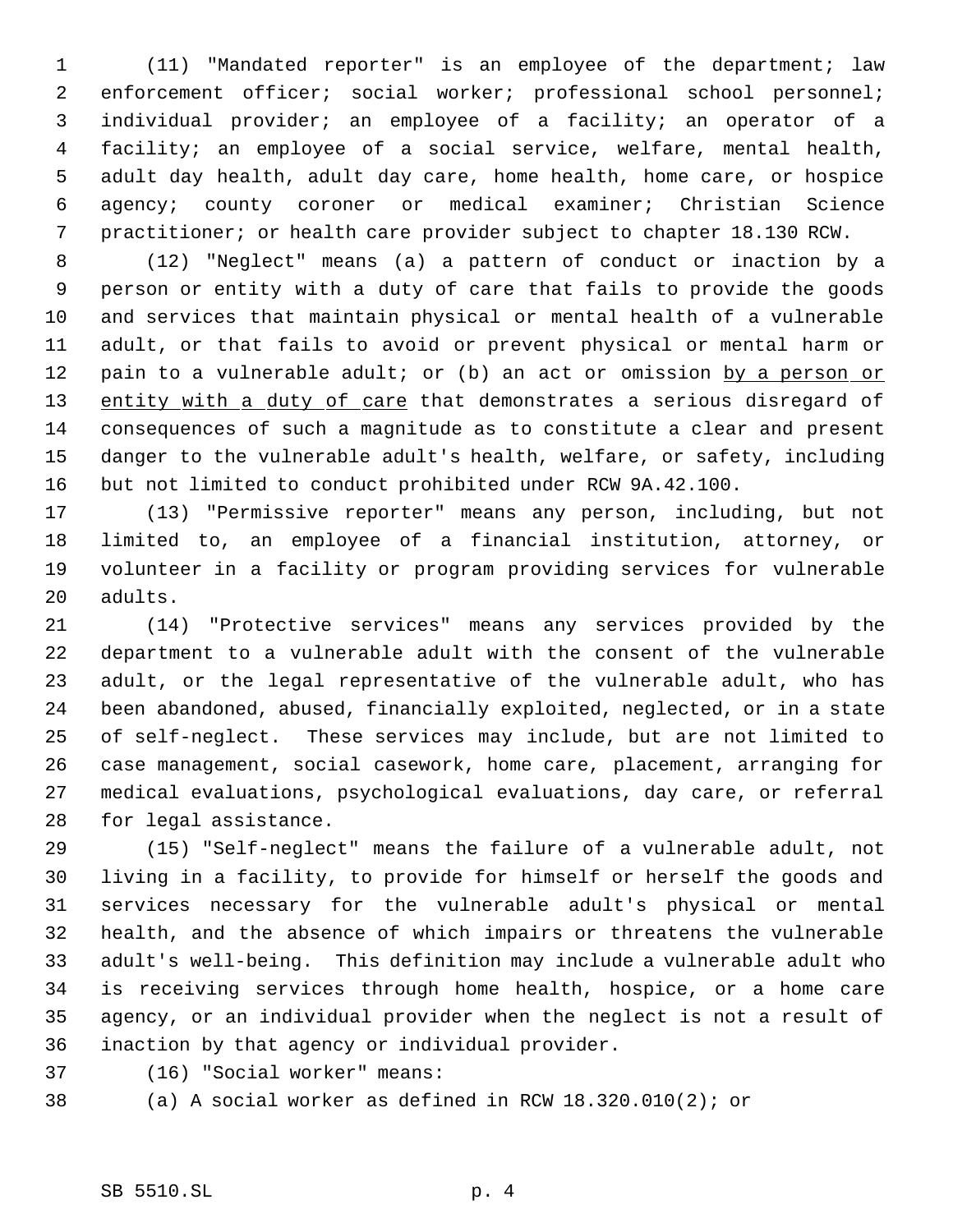(11) "Mandated reporter" is an employee of the department; law enforcement officer; social worker; professional school personnel; individual provider; an employee of a facility; an operator of a facility; an employee of a social service, welfare, mental health, adult day health, adult day care, home health, home care, or hospice agency; county coroner or medical examiner; Christian Science practitioner; or health care provider subject to chapter 18.130 RCW.

 (12) "Neglect" means (a) a pattern of conduct or inaction by a person or entity with a duty of care that fails to provide the goods and services that maintain physical or mental health of a vulnerable adult, or that fails to avoid or prevent physical or mental harm or 12 pain to a vulnerable adult; or (b) an act or omission by a person or 13 entity with a duty of care that demonstrates a serious disregard of consequences of such a magnitude as to constitute a clear and present danger to the vulnerable adult's health, welfare, or safety, including but not limited to conduct prohibited under RCW 9A.42.100.

 (13) "Permissive reporter" means any person, including, but not limited to, an employee of a financial institution, attorney, or volunteer in a facility or program providing services for vulnerable adults.

 (14) "Protective services" means any services provided by the department to a vulnerable adult with the consent of the vulnerable adult, or the legal representative of the vulnerable adult, who has been abandoned, abused, financially exploited, neglected, or in a state of self-neglect. These services may include, but are not limited to case management, social casework, home care, placement, arranging for medical evaluations, psychological evaluations, day care, or referral for legal assistance.

 (15) "Self-neglect" means the failure of a vulnerable adult, not living in a facility, to provide for himself or herself the goods and services necessary for the vulnerable adult's physical or mental health, and the absence of which impairs or threatens the vulnerable adult's well-being. This definition may include a vulnerable adult who is receiving services through home health, hospice, or a home care agency, or an individual provider when the neglect is not a result of inaction by that agency or individual provider.

(16) "Social worker" means:

(a) A social worker as defined in RCW 18.320.010(2); or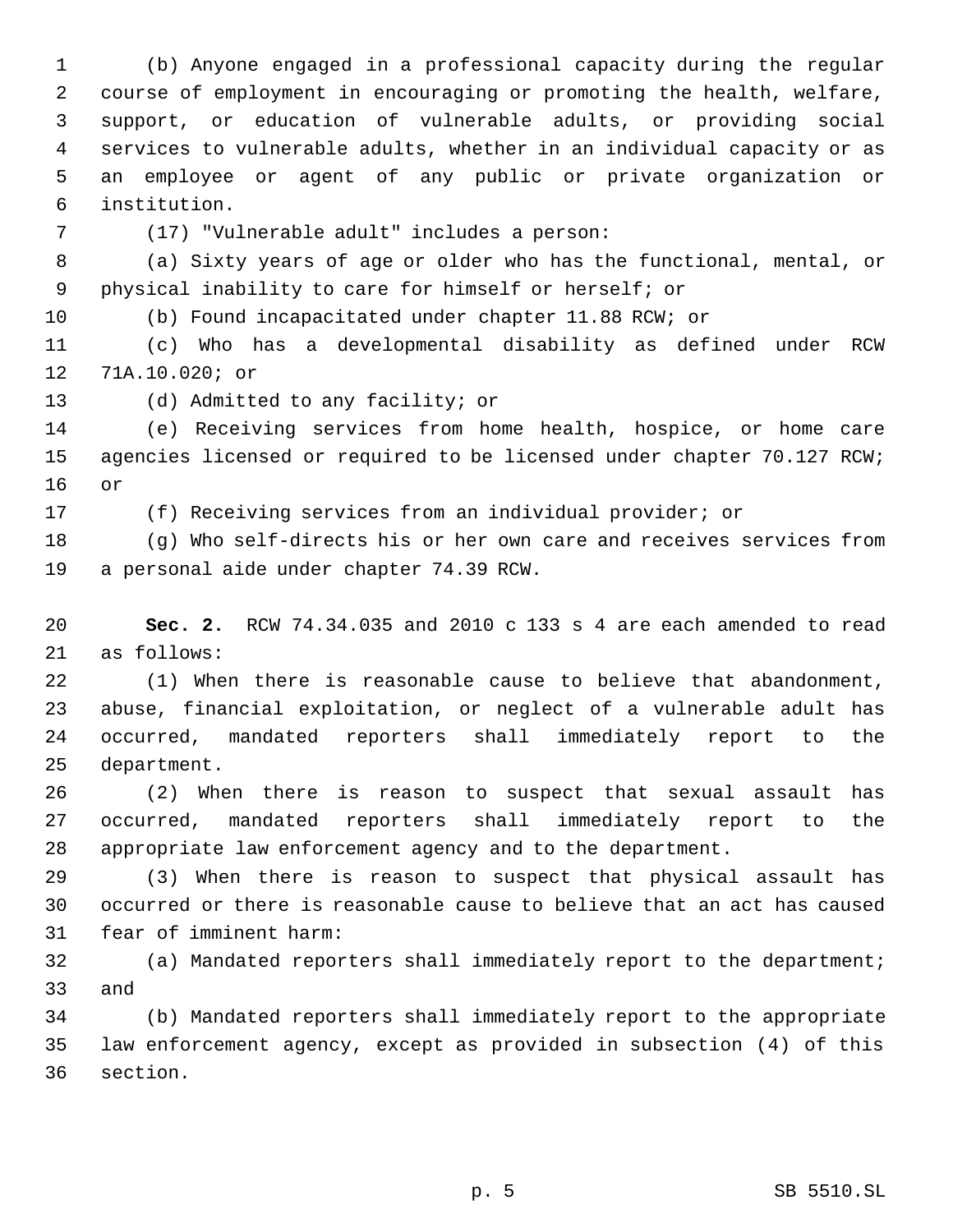(b) Anyone engaged in a professional capacity during the regular course of employment in encouraging or promoting the health, welfare, support, or education of vulnerable adults, or providing social services to vulnerable adults, whether in an individual capacity or as an employee or agent of any public or private organization or institution.

(17) "Vulnerable adult" includes a person:

 (a) Sixty years of age or older who has the functional, mental, or physical inability to care for himself or herself; or

(b) Found incapacitated under chapter 11.88 RCW; or

 (c) Who has a developmental disability as defined under RCW 71A.10.020; or

(d) Admitted to any facility; or

 (e) Receiving services from home health, hospice, or home care 15 agencies licensed or required to be licensed under chapter 70.127 RCW; or

(f) Receiving services from an individual provider; or

 (g) Who self-directs his or her own care and receives services from a personal aide under chapter 74.39 RCW.

 **Sec. 2.** RCW 74.34.035 and 2010 c 133 s 4 are each amended to read as follows:

 (1) When there is reasonable cause to believe that abandonment, abuse, financial exploitation, or neglect of a vulnerable adult has occurred, mandated reporters shall immediately report to the department.

 (2) When there is reason to suspect that sexual assault has occurred, mandated reporters shall immediately report to the appropriate law enforcement agency and to the department.

 (3) When there is reason to suspect that physical assault has occurred or there is reasonable cause to believe that an act has caused fear of imminent harm:

 (a) Mandated reporters shall immediately report to the department; and

 (b) Mandated reporters shall immediately report to the appropriate law enforcement agency, except as provided in subsection (4) of this section.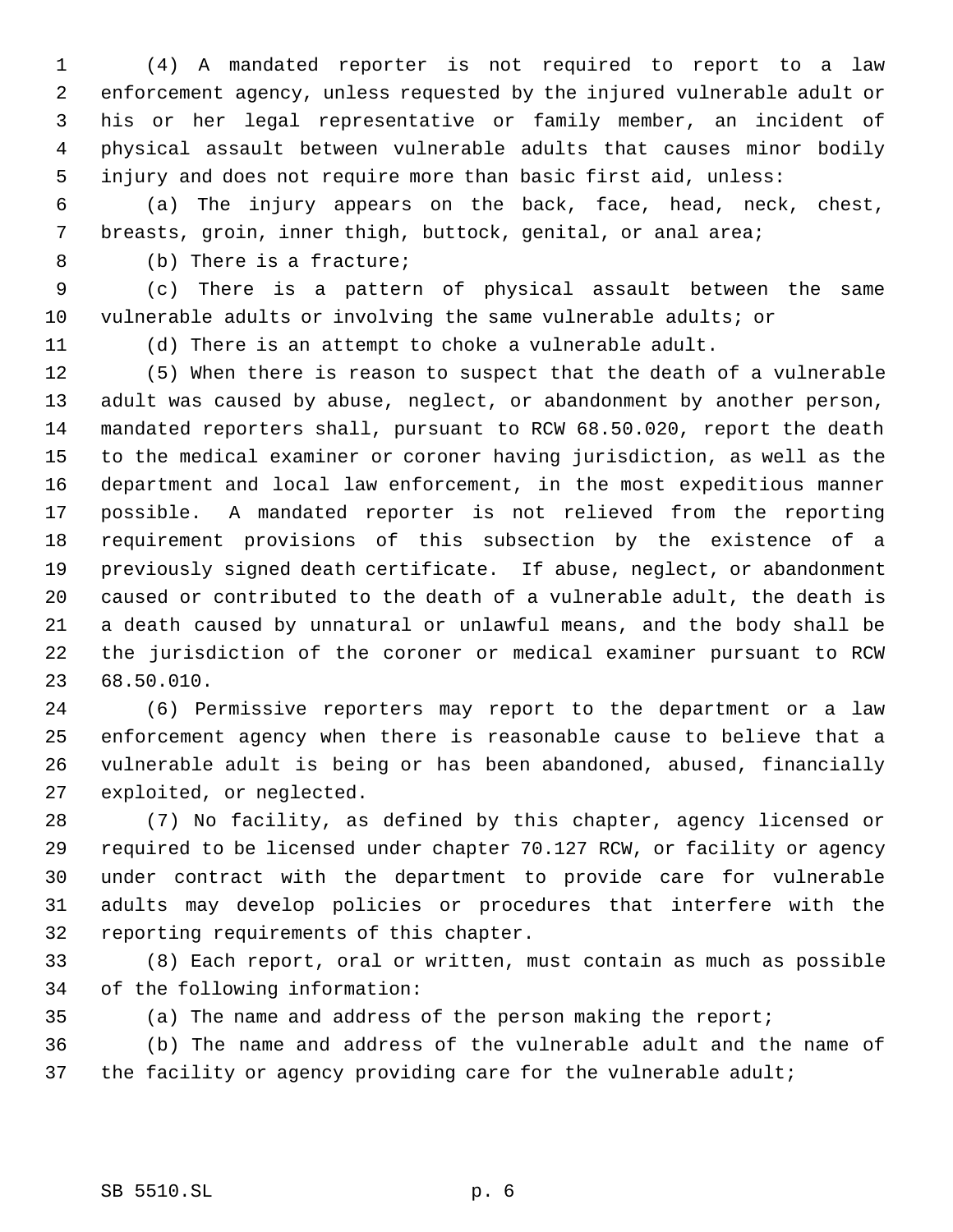(4) A mandated reporter is not required to report to a law enforcement agency, unless requested by the injured vulnerable adult or his or her legal representative or family member, an incident of physical assault between vulnerable adults that causes minor bodily injury and does not require more than basic first aid, unless:

 (a) The injury appears on the back, face, head, neck, chest, breasts, groin, inner thigh, buttock, genital, or anal area;

(b) There is a fracture;

 (c) There is a pattern of physical assault between the same vulnerable adults or involving the same vulnerable adults; or

(d) There is an attempt to choke a vulnerable adult.

 (5) When there is reason to suspect that the death of a vulnerable adult was caused by abuse, neglect, or abandonment by another person, mandated reporters shall, pursuant to RCW 68.50.020, report the death to the medical examiner or coroner having jurisdiction, as well as the department and local law enforcement, in the most expeditious manner possible. A mandated reporter is not relieved from the reporting requirement provisions of this subsection by the existence of a previously signed death certificate. If abuse, neglect, or abandonment caused or contributed to the death of a vulnerable adult, the death is a death caused by unnatural or unlawful means, and the body shall be the jurisdiction of the coroner or medical examiner pursuant to RCW 68.50.010.

 (6) Permissive reporters may report to the department or a law enforcement agency when there is reasonable cause to believe that a vulnerable adult is being or has been abandoned, abused, financially exploited, or neglected.

 (7) No facility, as defined by this chapter, agency licensed or required to be licensed under chapter 70.127 RCW, or facility or agency under contract with the department to provide care for vulnerable adults may develop policies or procedures that interfere with the reporting requirements of this chapter.

 (8) Each report, oral or written, must contain as much as possible of the following information:

(a) The name and address of the person making the report;

 (b) The name and address of the vulnerable adult and the name of 37 the facility or agency providing care for the vulnerable adult;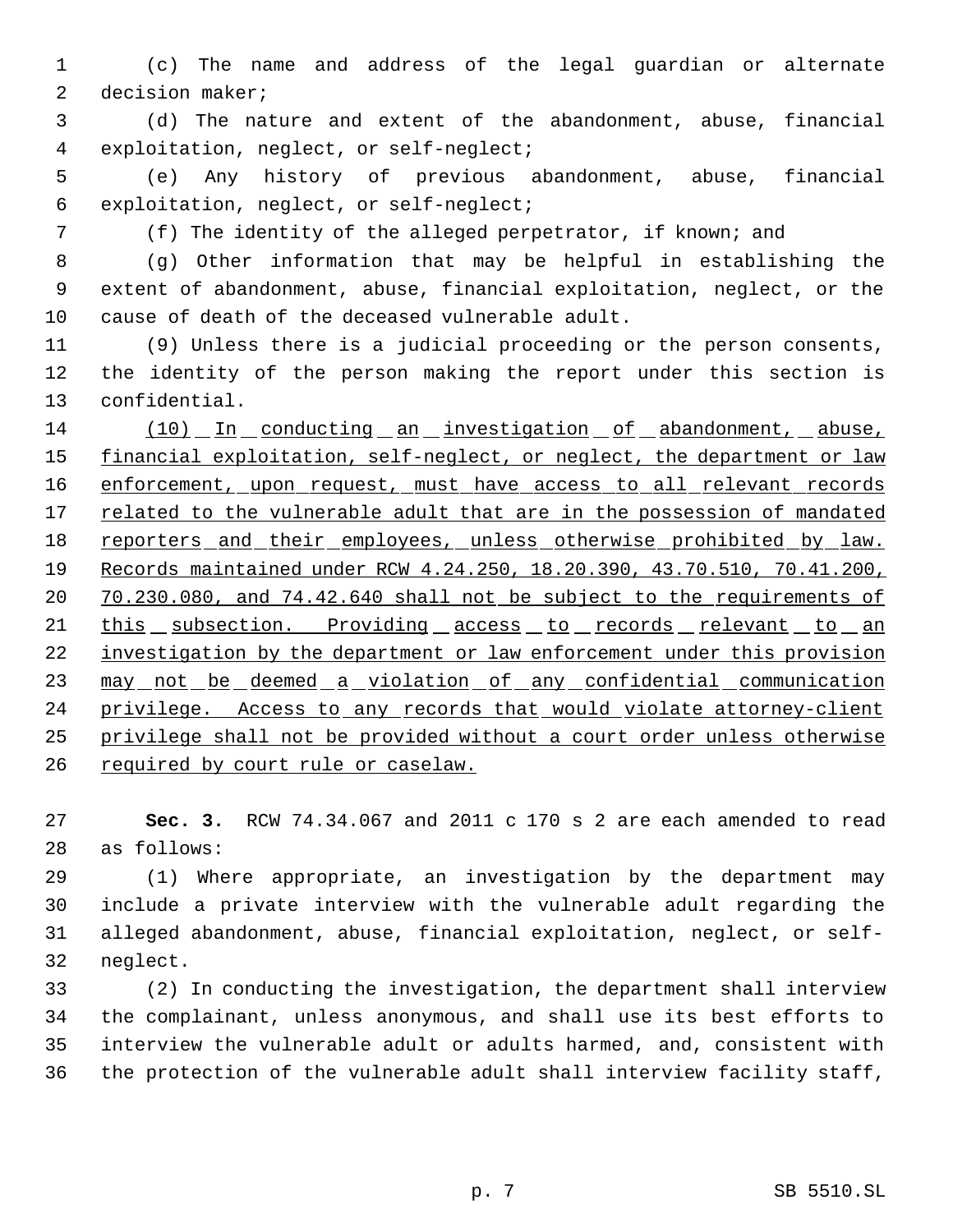(c) The name and address of the legal guardian or alternate decision maker;

 (d) The nature and extent of the abandonment, abuse, financial exploitation, neglect, or self-neglect;

 (e) Any history of previous abandonment, abuse, financial exploitation, neglect, or self-neglect;

(f) The identity of the alleged perpetrator, if known; and

 (g) Other information that may be helpful in establishing the extent of abandonment, abuse, financial exploitation, neglect, or the cause of death of the deceased vulnerable adult.

 (9) Unless there is a judicial proceeding or the person consents, the identity of the person making the report under this section is confidential.

 (10) In conducting an investigation of abandonment, abuse, 15 financial exploitation, self-neglect, or neglect, the department or law 16 enforcement, upon request, must have access to all relevant records 17 related to the vulnerable adult that are in the possession of mandated 18 reporters and their employees, unless otherwise prohibited by law. Records maintained under RCW 4.24.250, 18.20.390, 43.70.510, 70.41.200, 70.230.080, and 74.42.640 shall not be subject to the requirements of 21 this subsection. Providing access to records relevant to an 22 investigation by the department or law enforcement under this provision 23 may not be deemed a violation of any confidential communication 24 privilege. Access to any records that would violate attorney-client privilege shall not be provided without a court order unless otherwise 26 required by court rule or caselaw.

 **Sec. 3.** RCW 74.34.067 and 2011 c 170 s 2 are each amended to read as follows:

 (1) Where appropriate, an investigation by the department may include a private interview with the vulnerable adult regarding the alleged abandonment, abuse, financial exploitation, neglect, or self-neglect.

 (2) In conducting the investigation, the department shall interview the complainant, unless anonymous, and shall use its best efforts to interview the vulnerable adult or adults harmed, and, consistent with the protection of the vulnerable adult shall interview facility staff,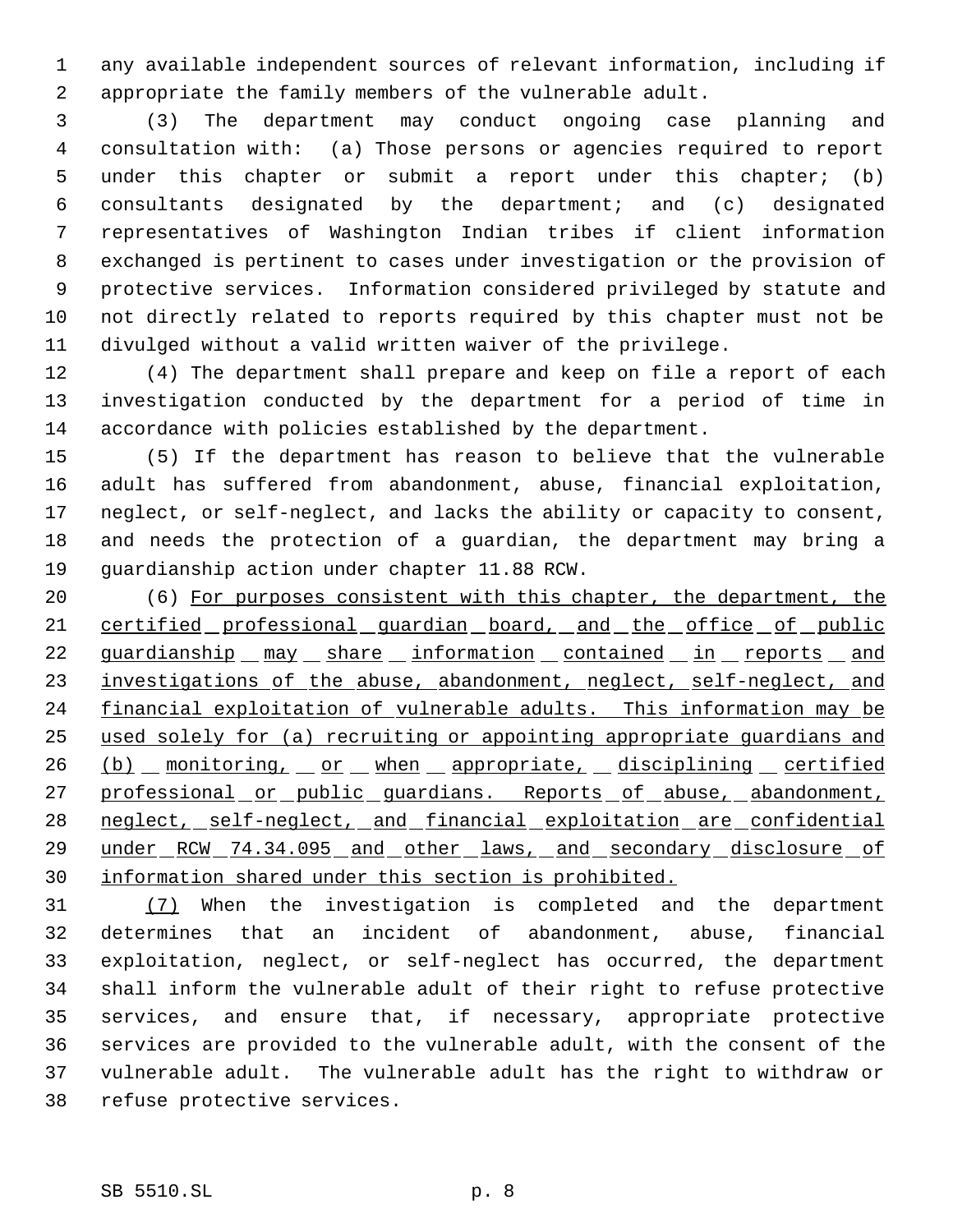any available independent sources of relevant information, including if appropriate the family members of the vulnerable adult.

 (3) The department may conduct ongoing case planning and consultation with: (a) Those persons or agencies required to report under this chapter or submit a report under this chapter; (b) consultants designated by the department; and (c) designated representatives of Washington Indian tribes if client information exchanged is pertinent to cases under investigation or the provision of protective services. Information considered privileged by statute and not directly related to reports required by this chapter must not be divulged without a valid written waiver of the privilege.

 (4) The department shall prepare and keep on file a report of each investigation conducted by the department for a period of time in accordance with policies established by the department.

 (5) If the department has reason to believe that the vulnerable adult has suffered from abandonment, abuse, financial exploitation, neglect, or self-neglect, and lacks the ability or capacity to consent, and needs the protection of a guardian, the department may bring a guardianship action under chapter 11.88 RCW.

 (6) For purposes consistent with this chapter, the department, the 21 certified professional guardian board, and the office of public 22 guardianship may share information contained in reports and 23 investigations of the abuse, abandonment, neglect, self-neglect, and 24 financial exploitation of vulnerable adults. This information may be used solely for (a) recruiting or appointing appropriate guardians and (b) monitoring, or when appropriate, disciplining certified 27 professional or public guardians. Reports of abuse, abandonment, neglect, self-neglect, and financial exploitation are confidential 29 under RCW 74.34.095 and other laws, and secondary disclosure of information shared under this section is prohibited.

 (7) When the investigation is completed and the department determines that an incident of abandonment, abuse, financial exploitation, neglect, or self-neglect has occurred, the department shall inform the vulnerable adult of their right to refuse protective services, and ensure that, if necessary, appropriate protective services are provided to the vulnerable adult, with the consent of the vulnerable adult. The vulnerable adult has the right to withdraw or refuse protective services.